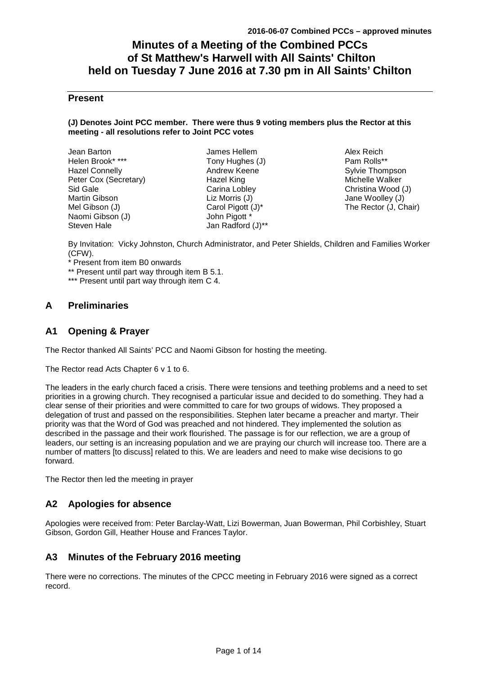# **Minutes of a Meeting of the Combined PCCs of St Matthew's Harwell with All Saints' Chilton held on Tuesday 7 June 2016 at 7.30 pm in All Saints' Chilton**

# **Present**

#### **(J) Denotes Joint PCC member. There were thus 9 voting members plus the Rector at this meeting - all resolutions refer to Joint PCC votes**

| Jean Barton           |
|-----------------------|
| Helen Brook* ***      |
| <b>Hazel Connelly</b> |
| Peter Cox (Secretary) |
| Sid Gale              |
| <b>Martin Gibson</b>  |
| Mel Gibson (J)        |
| Naomi Gibson (J)      |
| Steven Hale           |

James Hellem Tony Hughes (J) Andrew Keene Hazel King Carina Lobley Liz Morris (J) Carol Pigott (J)\* John Pigott \* Jan Radford (J)\*\*

Alex Reich Pam Rolls\*\* Sylvie Thompson Michelle Walker Christina Wood (J) Jane Woolley (J) The Rector (J, Chair)

By Invitation: Vicky Johnston, Church Administrator, and Peter Shields, Children and Families Worker (CFW).

\* Present from item B0 onwards

\*\* Present until part way through item B 5.1.

\*\*\* Present until part way through item C 4.

# **A Preliminaries**

# **A1 Opening & Prayer**

The Rector thanked All Saints' PCC and Naomi Gibson for hosting the meeting.

The Rector read Acts Chapter 6 v 1 to 6.

The leaders in the early church faced a crisis. There were tensions and teething problems and a need to set priorities in a growing church. They recognised a particular issue and decided to do something. They had a clear sense of their priorities and were committed to care for two groups of widows. They proposed a delegation of trust and passed on the responsibilities. Stephen later became a preacher and martyr. Their priority was that the Word of God was preached and not hindered. They implemented the solution as described in the passage and their work flourished. The passage is for our reflection, we are a group of leaders, our setting is an increasing population and we are praying our church will increase too. There are a number of matters [to discuss] related to this. We are leaders and need to make wise decisions to go forward.

The Rector then led the meeting in prayer

# **A2 Apologies for absence**

Apologies were received from: Peter Barclay-Watt, Lizi Bowerman, Juan Bowerman, Phil Corbishley, Stuart Gibson, Gordon Gill, Heather House and Frances Taylor.

# **A3 Minutes of the February 2016 meeting**

There were no corrections. The minutes of the CPCC meeting in February 2016 were signed as a correct record.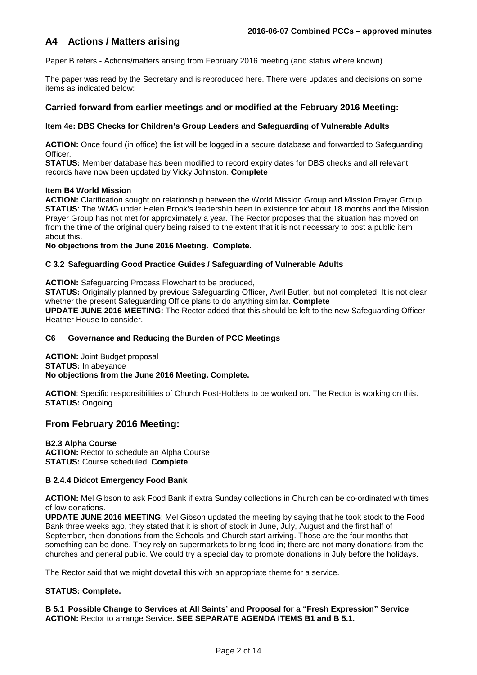# **A4 Actions / Matters arising**

Paper B refers - Actions/matters arising from February 2016 meeting (and status where known)

The paper was read by the Secretary and is reproduced here. There were updates and decisions on some items as indicated below:

## **Carried forward from earlier meetings and or modified at the February 2016 Meeting:**

### **Item 4e: DBS Checks for Children's Group Leaders and Safeguarding of Vulnerable Adults**

**ACTION:** Once found (in office) the list will be logged in a secure database and forwarded to Safeguarding Officer.

**STATUS:** Member database has been modified to record expiry dates for DBS checks and all relevant records have now been updated by Vicky Johnston. **Complete**

#### **Item B4 World Mission**

**ACTION:** Clarification sought on relationship between the World Mission Group and Mission Prayer Group **STATUS**: The WMG under Helen Brook's leadership been in existence for about 18 months and the Mission Prayer Group has not met for approximately a year. The Rector proposes that the situation has moved on from the time of the original query being raised to the extent that it is not necessary to post a public item about this.

**No objections from the June 2016 Meeting. Complete.** 

#### **C 3.2 Safeguarding Good Practice Guides / Safeguarding of Vulnerable Adults**

**ACTION:** Safeguarding Process Flowchart to be produced,

**STATUS:** Originally planned by previous Safeguarding Officer, Avril Butler, but not completed. It is not clear whether the present Safeguarding Office plans to do anything similar. **Complete UPDATE JUNE 2016 MEETING:** The Rector added that this should be left to the new Safeguarding Officer Heather House to consider.

### **C6 Governance and Reducing the Burden of PCC Meetings**

**ACTION: Joint Budget proposal STATUS:** In abeyance

**No objections from the June 2016 Meeting. Complete.**

**ACTION**: Specific responsibilities of Church Post-Holders to be worked on. The Rector is working on this. **STATUS:** Ongoing

# **From February 2016 Meeting:**

**B2.3 Alpha Course ACTION:** Rector to schedule an Alpha Course **STATUS:** Course scheduled. **Complete**

#### **B 2.4.4 Didcot Emergency Food Bank**

**ACTION:** Mel Gibson to ask Food Bank if extra Sunday collections in Church can be co-ordinated with times of low donations.

**UPDATE JUNE 2016 MEETING**: Mel Gibson updated the meeting by saying that he took stock to the Food Bank three weeks ago, they stated that it is short of stock in June, July, August and the first half of September, then donations from the Schools and Church start arriving. Those are the four months that something can be done. They rely on supermarkets to bring food in; there are not many donations from the churches and general public. We could try a special day to promote donations in July before the holidays.

The Rector said that we might dovetail this with an appropriate theme for a service.

## **STATUS: Complete.**

**B 5.1 Possible Change to Services at All Saints' and Proposal for a "Fresh Expression" Service ACTION:** Rector to arrange Service. **SEE SEPARATE AGENDA ITEMS B1 and B 5.1.**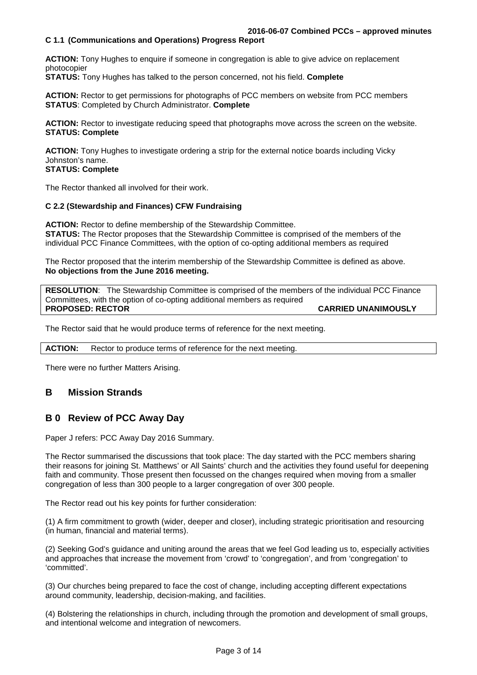### **C 1.1 (Communications and Operations) Progress Report**

**ACTION:** Tony Hughes to enquire if someone in congregation is able to give advice on replacement photocopier

**STATUS:** Tony Hughes has talked to the person concerned, not his field. **Complete**

**ACTION:** Rector to get permissions for photographs of PCC members on website from PCC members **STATUS**: Completed by Church Administrator. **Complete**

**ACTION:** Rector to investigate reducing speed that photographs move across the screen on the website. **STATUS: Complete** 

**ACTION:** Tony Hughes to investigate ordering a strip for the external notice boards including Vicky Johnston's name.

## **STATUS: Complete**

The Rector thanked all involved for their work.

#### **C 2.2 (Stewardship and Finances) CFW Fundraising**

**ACTION:** Rector to define membership of the Stewardship Committee. **STATUS:** The Rector proposes that the Stewardship Committee is comprised of the members of the individual PCC Finance Committees, with the option of co-opting additional members as required

The Rector proposed that the interim membership of the Stewardship Committee is defined as above. **No objections from the June 2016 meeting.** 

**RESOLUTION**: The Stewardship Committee is comprised of the members of the individual PCC Finance Committees, with the option of co-opting additional members as required **PROPOSED: RECTOR CARRIED UNANIMOUSLY** 

The Rector said that he would produce terms of reference for the next meeting.

**ACTION:** Rector to produce terms of reference for the next meeting.

There were no further Matters Arising.

## **B Mission Strands**

# **B 0 Review of PCC Away Day**

Paper J refers: PCC Away Day 2016 Summary.

The Rector summarised the discussions that took place: The day started with the PCC members sharing their reasons for joining St. Matthews' or All Saints' church and the activities they found useful for deepening faith and community. Those present then focussed on the changes required when moving from a smaller congregation of less than 300 people to a larger congregation of over 300 people.

The Rector read out his key points for further consideration:

(1) A firm commitment to growth (wider, deeper and closer), including strategic prioritisation and resourcing (in human, financial and material terms).

(2) Seeking God's guidance and uniting around the areas that we feel God leading us to, especially activities and approaches that increase the movement from 'crowd' to 'congregation', and from 'congregation' to 'committed'.

(3) Our churches being prepared to face the cost of change, including accepting different expectations around community, leadership, decision-making, and facilities.

(4) Bolstering the relationships in church, including through the promotion and development of small groups, and intentional welcome and integration of newcomers.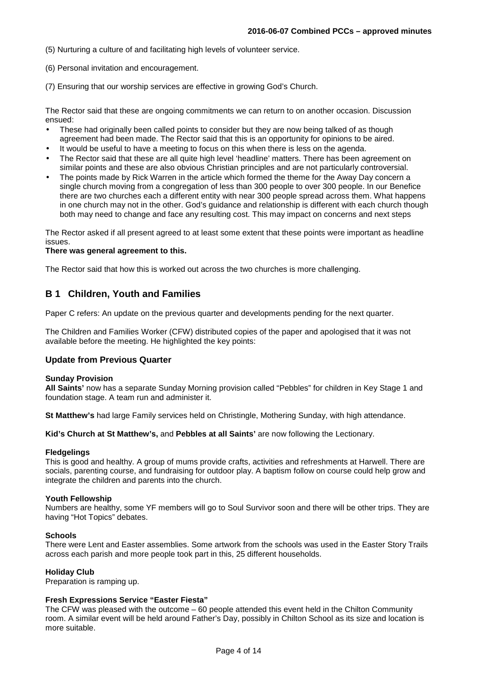(5) Nurturing a culture of and facilitating high levels of volunteer service.

(6) Personal invitation and encouragement.

(7) Ensuring that our worship services are effective in growing God's Church.

The Rector said that these are ongoing commitments we can return to on another occasion. Discussion ensued:

- These had originally been called points to consider but they are now being talked of as though agreement had been made. The Rector said that this is an opportunity for opinions to be aired.
- It would be useful to have a meeting to focus on this when there is less on the agenda.
- The Rector said that these are all quite high level 'headline' matters. There has been agreement on similar points and these are also obvious Christian principles and are not particularly controversial.
- The points made by Rick Warren in the article which formed the theme for the Away Day concern a single church moving from a congregation of less than 300 people to over 300 people. In our Benefice there are two churches each a different entity with near 300 people spread across them. What happens in one church may not in the other. God's guidance and relationship is different with each church though both may need to change and face any resulting cost. This may impact on concerns and next steps

The Rector asked if all present agreed to at least some extent that these points were important as headline issues.

#### **There was general agreement to this.**

The Rector said that how this is worked out across the two churches is more challenging.

## **B 1 Children, Youth and Families**

Paper C refers: An update on the previous quarter and developments pending for the next quarter.

The Children and Families Worker (CFW) distributed copies of the paper and apologised that it was not available before the meeting. He highlighted the key points:

#### **Update from Previous Quarter**

#### **Sunday Provision**

**All Saints'** now has a separate Sunday Morning provision called "Pebbles" for children in Key Stage 1 and foundation stage. A team run and administer it.

**St Matthew's** had large Family services held on Christingle, Mothering Sunday, with high attendance.

**Kid's Church at St Matthew's,** and **Pebbles at all Saints'** are now following the Lectionary.

#### **Fledgelings**

This is good and healthy. A group of mums provide crafts, activities and refreshments at Harwell. There are socials, parenting course, and fundraising for outdoor play. A baptism follow on course could help grow and integrate the children and parents into the church.

#### **Youth Fellowship**

Numbers are healthy, some YF members will go to Soul Survivor soon and there will be other trips. They are having "Hot Topics" debates.

#### **Schools**

There were Lent and Easter assemblies. Some artwork from the schools was used in the Easter Story Trails across each parish and more people took part in this, 25 different households.

#### **Holiday Club**

Preparation is ramping up.

### **Fresh Expressions Service "Easter Fiesta"**

The CFW was pleased with the outcome – 60 people attended this event held in the Chilton Community room. A similar event will be held around Father's Day, possibly in Chilton School as its size and location is more suitable.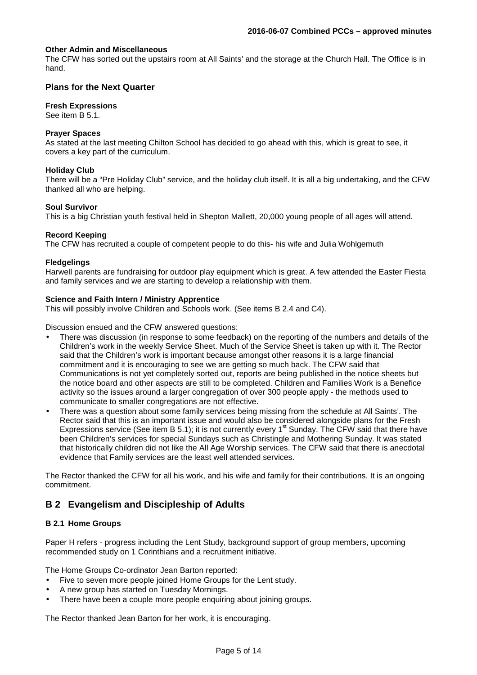#### **Other Admin and Miscellaneous**

The CFW has sorted out the upstairs room at All Saints' and the storage at the Church Hall. The Office is in hand.

## **Plans for the Next Quarter**

#### **Fresh Expressions**

See item B 5.1.

### **Prayer Spaces**

As stated at the last meeting Chilton School has decided to go ahead with this, which is great to see, it covers a key part of the curriculum.

#### **Holiday Club**

There will be a "Pre Holiday Club" service, and the holiday club itself. It is all a big undertaking, and the CFW thanked all who are helping.

#### **Soul Survivor**

This is a big Christian youth festival held in Shepton Mallett, 20,000 young people of all ages will attend.

#### **Record Keeping**

The CFW has recruited a couple of competent people to do this- his wife and Julia Wohlgemuth

#### **Fledgelings**

Harwell parents are fundraising for outdoor play equipment which is great. A few attended the Easter Fiesta and family services and we are starting to develop a relationship with them.

#### **Science and Faith Intern / Ministry Apprentice**

This will possibly involve Children and Schools work. (See items B 2.4 and C4).

Discussion ensued and the CFW answered questions:

- There was discussion (in response to some feedback) on the reporting of the numbers and details of the Children's work in the weekly Service Sheet. Much of the Service Sheet is taken up with it. The Rector said that the Children's work is important because amongst other reasons it is a large financial commitment and it is encouraging to see we are getting so much back. The CFW said that Communications is not yet completely sorted out, reports are being published in the notice sheets but the notice board and other aspects are still to be completed. Children and Families Work is a Benefice activity so the issues around a larger congregation of over 300 people apply - the methods used to communicate to smaller congregations are not effective.
- There was a question about some family services being missing from the schedule at All Saints'. The Rector said that this is an important issue and would also be considered alongside plans for the Fresh Expressions service (See item B 5.1); it is not currently every 1<sup>st</sup> Sunday. The CFW said that there have been Children's services for special Sundays such as Christingle and Mothering Sunday. It was stated that historically children did not like the All Age Worship services. The CFW said that there is anecdotal evidence that Family services are the least well attended services.

The Rector thanked the CFW for all his work, and his wife and family for their contributions. It is an ongoing commitment.

# **B 2 Evangelism and Discipleship of Adults**

## **B 2.1 Home Groups**

Paper H refers - progress including the Lent Study, background support of group members, upcoming recommended study on 1 Corinthians and a recruitment initiative.

The Home Groups Co-ordinator Jean Barton reported:

- Five to seven more people joined Home Groups for the Lent study.
- A new group has started on Tuesday Mornings.
- There have been a couple more people enquiring about joining groups.

The Rector thanked Jean Barton for her work, it is encouraging.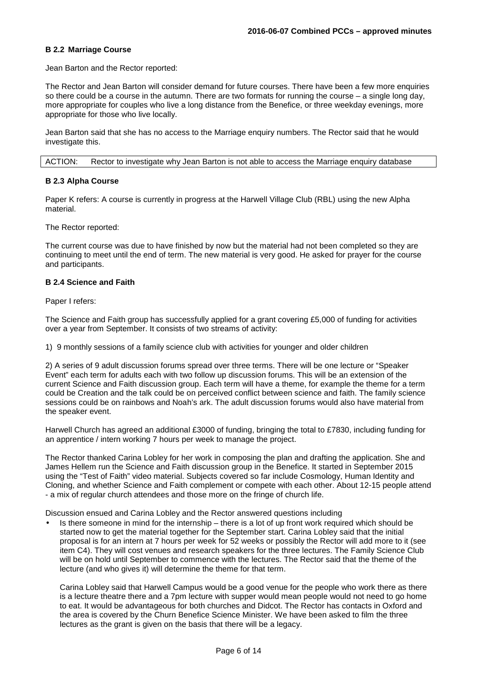#### **B 2.2 Marriage Course**

Jean Barton and the Rector reported:

The Rector and Jean Barton will consider demand for future courses. There have been a few more enquiries so there could be a course in the autumn. There are two formats for running the course – a single long day, more appropriate for couples who live a long distance from the Benefice, or three weekday evenings, more appropriate for those who live locally.

Jean Barton said that she has no access to the Marriage enquiry numbers. The Rector said that he would investigate this.

ACTION: Rector to investigate why Jean Barton is not able to access the Marriage enquiry database

#### **B 2.3 Alpha Course**

Paper K refers: A course is currently in progress at the Harwell Village Club (RBL) using the new Alpha material.

The Rector reported:

The current course was due to have finished by now but the material had not been completed so they are continuing to meet until the end of term. The new material is very good. He asked for prayer for the course and participants.

#### **B 2.4 Science and Faith**

Paper I refers:

The Science and Faith group has successfully applied for a grant covering £5,000 of funding for activities over a year from September. It consists of two streams of activity:

1) 9 monthly sessions of a family science club with activities for younger and older children

2) A series of 9 adult discussion forums spread over three terms. There will be one lecture or "Speaker Event" each term for adults each with two follow up discussion forums. This will be an extension of the current Science and Faith discussion group. Each term will have a theme, for example the theme for a term could be Creation and the talk could be on perceived conflict between science and faith. The family science sessions could be on rainbows and Noah's ark. The adult discussion forums would also have material from the speaker event.

Harwell Church has agreed an additional £3000 of funding, bringing the total to £7830, including funding for an apprentice / intern working 7 hours per week to manage the project.

The Rector thanked Carina Lobley for her work in composing the plan and drafting the application. She and James Hellem run the Science and Faith discussion group in the Benefice. It started in September 2015 using the "Test of Faith" video material. Subjects covered so far include Cosmology, Human Identity and Cloning, and whether Science and Faith complement or compete with each other. About 12-15 people attend - a mix of regular church attendees and those more on the fringe of church life.

Discussion ensued and Carina Lobley and the Rector answered questions including

• Is there someone in mind for the internship – there is a lot of up front work required which should be started now to get the material together for the September start. Carina Lobley said that the initial proposal is for an intern at 7 hours per week for 52 weeks or possibly the Rector will add more to it (see item C4). They will cost venues and research speakers for the three lectures. The Family Science Club will be on hold until September to commence with the lectures. The Rector said that the theme of the lecture (and who gives it) will determine the theme for that term.

Carina Lobley said that Harwell Campus would be a good venue for the people who work there as there is a lecture theatre there and a 7pm lecture with supper would mean people would not need to go home to eat. It would be advantageous for both churches and Didcot. The Rector has contacts in Oxford and the area is covered by the Churn Benefice Science Minister. We have been asked to film the three lectures as the grant is given on the basis that there will be a legacy.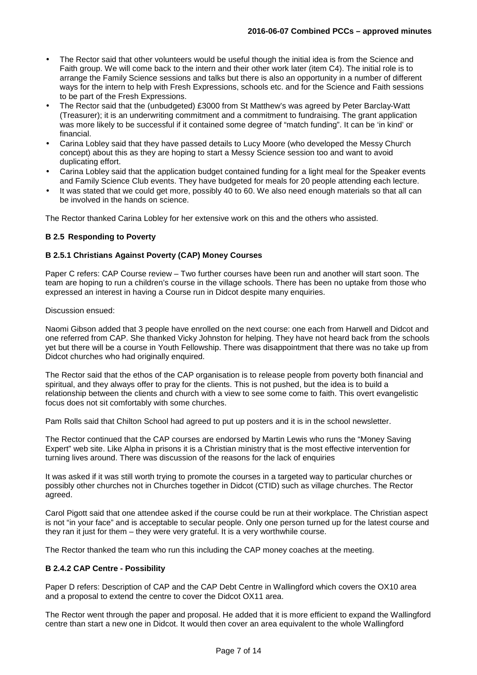- The Rector said that other volunteers would be useful though the initial idea is from the Science and Faith group. We will come back to the intern and their other work later (item C4). The initial role is to arrange the Family Science sessions and talks but there is also an opportunity in a number of different ways for the intern to help with Fresh Expressions, schools etc. and for the Science and Faith sessions to be part of the Fresh Expressions.
- The Rector said that the (unbudgeted) £3000 from St Matthew's was agreed by Peter Barclay-Watt (Treasurer); it is an underwriting commitment and a commitment to fundraising. The grant application was more likely to be successful if it contained some degree of "match funding". It can be 'in kind' or financial.
- Carina Lobley said that they have passed details to Lucy Moore (who developed the Messy Church concept) about this as they are hoping to start a Messy Science session too and want to avoid duplicating effort.
- Carina Lobley said that the application budget contained funding for a light meal for the Speaker events and Family Science Club events. They have budgeted for meals for 20 people attending each lecture.
- It was stated that we could get more, possibly 40 to 60. We also need enough materials so that all can be involved in the hands on science.

The Rector thanked Carina Lobley for her extensive work on this and the others who assisted.

## **B 2.5 Responding to Poverty**

#### **B 2.5.1 Christians Against Poverty (CAP) Money Courses**

Paper C refers: CAP Course review – Two further courses have been run and another will start soon. The team are hoping to run a children's course in the village schools. There has been no uptake from those who expressed an interest in having a Course run in Didcot despite many enquiries.

#### Discussion ensued:

Naomi Gibson added that 3 people have enrolled on the next course: one each from Harwell and Didcot and one referred from CAP. She thanked Vicky Johnston for helping. They have not heard back from the schools yet but there will be a course in Youth Fellowship. There was disappointment that there was no take up from Didcot churches who had originally enquired.

The Rector said that the ethos of the CAP organisation is to release people from poverty both financial and spiritual, and they always offer to pray for the clients. This is not pushed, but the idea is to build a relationship between the clients and church with a view to see some come to faith. This overt evangelistic focus does not sit comfortably with some churches.

Pam Rolls said that Chilton School had agreed to put up posters and it is in the school newsletter.

The Rector continued that the CAP courses are endorsed by Martin Lewis who runs the "Money Saving Expert" web site. Like Alpha in prisons it is a Christian ministry that is the most effective intervention for turning lives around. There was discussion of the reasons for the lack of enquiries

It was asked if it was still worth trying to promote the courses in a targeted way to particular churches or possibly other churches not in Churches together in Didcot (CTID) such as village churches. The Rector agreed.

Carol Pigott said that one attendee asked if the course could be run at their workplace. The Christian aspect is not "in your face" and is acceptable to secular people. Only one person turned up for the latest course and they ran it just for them – they were very grateful. It is a very worthwhile course.

The Rector thanked the team who run this including the CAP money coaches at the meeting.

#### **B 2.4.2 CAP Centre - Possibility**

Paper D refers: Description of CAP and the CAP Debt Centre in Wallingford which covers the OX10 area and a proposal to extend the centre to cover the Didcot OX11 area.

The Rector went through the paper and proposal. He added that it is more efficient to expand the Wallingford centre than start a new one in Didcot. It would then cover an area equivalent to the whole Wallingford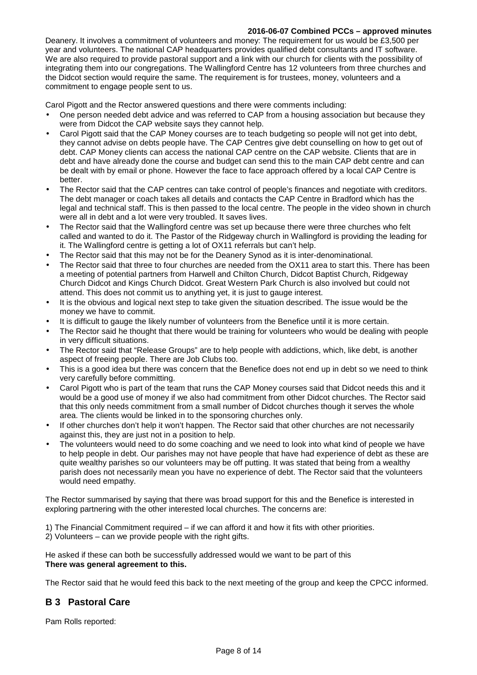## **2016-06-07 Combined PCCs – approved minutes**

Deanery. It involves a commitment of volunteers and money: The requirement for us would be £3,500 per year and volunteers. The national CAP headquarters provides qualified debt consultants and IT software. We are also required to provide pastoral support and a link with our church for clients with the possibility of integrating them into our congregations. The Wallingford Centre has 12 volunteers from three churches and the Didcot section would require the same. The requirement is for trustees, money, volunteers and a commitment to engage people sent to us.

Carol Pigott and the Rector answered questions and there were comments including:

- One person needed debt advice and was referred to CAP from a housing association but because they were from Didcot the CAP website says they cannot help.
- Carol Pigott said that the CAP Money courses are to teach budgeting so people will not get into debt, they cannot advise on debts people have. The CAP Centres give debt counselling on how to get out of debt. CAP Money clients can access the national CAP centre on the CAP website. Clients that are in debt and have already done the course and budget can send this to the main CAP debt centre and can be dealt with by email or phone. However the face to face approach offered by a local CAP Centre is better.
- The Rector said that the CAP centres can take control of people's finances and negotiate with creditors. The debt manager or coach takes all details and contacts the CAP Centre in Bradford which has the legal and technical staff. This is then passed to the local centre. The people in the video shown in church were all in debt and a lot were very troubled. It saves lives.
- The Rector said that the Wallingford centre was set up because there were three churches who felt called and wanted to do it. The Pastor of the Ridgeway church in Wallingford is providing the leading for it. The Wallingford centre is getting a lot of OX11 referrals but can't help.
- The Rector said that this may not be for the Deanery Synod as it is inter-denominational.
- The Rector said that three to four churches are needed from the OX11 area to start this. There has been a meeting of potential partners from Harwell and Chilton Church, Didcot Baptist Church, Ridgeway Church Didcot and Kings Church Didcot. Great Western Park Church is also involved but could not attend. This does not commit us to anything yet, it is just to gauge interest.
- It is the obvious and logical next step to take given the situation described. The issue would be the money we have to commit.
- It is difficult to gauge the likely number of volunteers from the Benefice until it is more certain.
- The Rector said he thought that there would be training for volunteers who would be dealing with people in very difficult situations.
- The Rector said that "Release Groups" are to help people with addictions, which, like debt, is another aspect of freeing people. There are Job Clubs too.
- This is a good idea but there was concern that the Benefice does not end up in debt so we need to think very carefully before committing.
- Carol Pigott who is part of the team that runs the CAP Money courses said that Didcot needs this and it would be a good use of money if we also had commitment from other Didcot churches. The Rector said that this only needs commitment from a small number of Didcot churches though it serves the whole area. The clients would be linked in to the sponsoring churches only.
- If other churches don't help it won't happen. The Rector said that other churches are not necessarily against this, they are just not in a position to help.
- The volunteers would need to do some coaching and we need to look into what kind of people we have to help people in debt. Our parishes may not have people that have had experience of debt as these are quite wealthy parishes so our volunteers may be off putting. It was stated that being from a wealthy parish does not necessarily mean you have no experience of debt. The Rector said that the volunteers would need empathy.

The Rector summarised by saying that there was broad support for this and the Benefice is interested in exploring partnering with the other interested local churches. The concerns are:

1) The Financial Commitment required – if we can afford it and how it fits with other priorities.

2) Volunteers – can we provide people with the right gifts.

He asked if these can both be successfully addressed would we want to be part of this **There was general agreement to this.** 

The Rector said that he would feed this back to the next meeting of the group and keep the CPCC informed.

# **B 3 Pastoral Care**

Pam Rolls reported: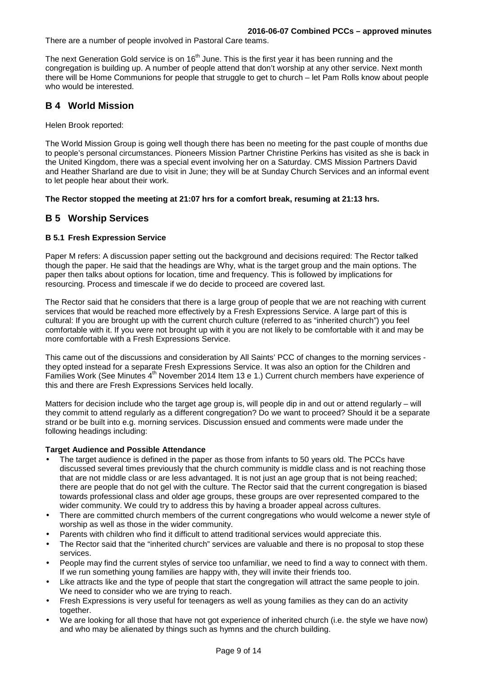There are a number of people involved in Pastoral Care teams.

The next Generation Gold service is on 16<sup>th</sup> June. This is the first year it has been running and the congregation is building up. A number of people attend that don't worship at any other service. Next month there will be Home Communions for people that struggle to get to church – let Pam Rolls know about people who would be interested.

# **B 4 World Mission**

Helen Brook reported:

The World Mission Group is going well though there has been no meeting for the past couple of months due to people's personal circumstances. Pioneers Mission Partner Christine Perkins has visited as she is back in the United Kingdom, there was a special event involving her on a Saturday. CMS Mission Partners David and Heather Sharland are due to visit in June; they will be at Sunday Church Services and an informal event to let people hear about their work.

## **The Rector stopped the meeting at 21:07 hrs for a comfort break, resuming at 21:13 hrs.**

# **B 5 Worship Services**

## **B 5.1 Fresh Expression Service**

Paper M refers: A discussion paper setting out the background and decisions required: The Rector talked though the paper. He said that the headings are Why, what is the target group and the main options. The paper then talks about options for location, time and frequency. This is followed by implications for resourcing. Process and timescale if we do decide to proceed are covered last.

The Rector said that he considers that there is a large group of people that we are not reaching with current services that would be reached more effectively by a Fresh Expressions Service. A large part of this is cultural: If you are brought up with the current church culture (referred to as "inherited church") you feel comfortable with it. If you were not brought up with it you are not likely to be comfortable with it and may be more comfortable with a Fresh Expressions Service.

This came out of the discussions and consideration by All Saints' PCC of changes to the morning services they opted instead for a separate Fresh Expressions Service. It was also an option for the Children and Families Work (See Minutes 4<sup>th</sup> November 2014 Item 13 e 1.) Current church members have experience of this and there are Fresh Expressions Services held locally.

Matters for decision include who the target age group is, will people dip in and out or attend regularly – will they commit to attend regularly as a different congregation? Do we want to proceed? Should it be a separate strand or be built into e.g. morning services. Discussion ensued and comments were made under the following headings including:

## **Target Audience and Possible Attendance**

- The target audience is defined in the paper as those from infants to 50 years old. The PCCs have discussed several times previously that the church community is middle class and is not reaching those that are not middle class or are less advantaged. It is not just an age group that is not being reached; there are people that do not gel with the culture. The Rector said that the current congregation is biased towards professional class and older age groups, these groups are over represented compared to the wider community. We could try to address this by having a broader appeal across cultures.
- There are committed church members of the current congregations who would welcome a newer style of worship as well as those in the wider community.
- Parents with children who find it difficult to attend traditional services would appreciate this.
- The Rector said that the "inherited church" services are valuable and there is no proposal to stop these services.
- People may find the current styles of service too unfamiliar, we need to find a way to connect with them. If we run something young families are happy with, they will invite their friends too.
- Like attracts like and the type of people that start the congregation will attract the same people to join. We need to consider who we are trying to reach.
- Fresh Expressions is very useful for teenagers as well as young families as they can do an activity together.
- We are looking for all those that have not got experience of inherited church (i.e. the style we have now) and who may be alienated by things such as hymns and the church building.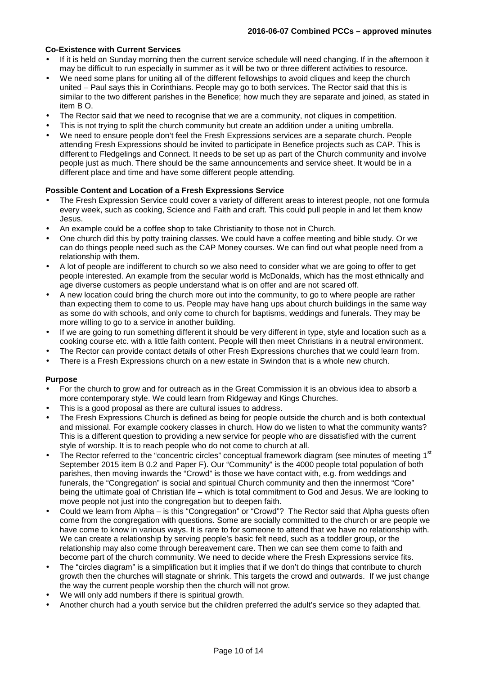## **Co-Existence with Current Services**

- If it is held on Sunday morning then the current service schedule will need changing. If in the afternoon it may be difficult to run especially in summer as it will be two or three different activities to resource.
- We need some plans for uniting all of the different fellowships to avoid cliques and keep the church united – Paul says this in Corinthians. People may go to both services. The Rector said that this is similar to the two different parishes in the Benefice; how much they are separate and joined, as stated in item B O.
- The Rector said that we need to recognise that we are a community, not cliques in competition.
- This is not trying to split the church community but create an addition under a uniting umbrella.
- We need to ensure people don't feel the Fresh Expressions services are a separate church. People attending Fresh Expressions should be invited to participate in Benefice projects such as CAP. This is different to Fledgelings and Connect. It needs to be set up as part of the Church community and involve people just as much. There should be the same announcements and service sheet. It would be in a different place and time and have some different people attending.

## **Possible Content and Location of a Fresh Expressions Service**

- The Fresh Expression Service could cover a variety of different areas to interest people, not one formula every week, such as cooking, Science and Faith and craft. This could pull people in and let them know Jesus.
- An example could be a coffee shop to take Christianity to those not in Church.
- One church did this by potty training classes. We could have a coffee meeting and bible study. Or we can do things people need such as the CAP Money courses. We can find out what people need from a relationship with them.
- A lot of people are indifferent to church so we also need to consider what we are going to offer to get people interested. An example from the secular world is McDonalds, which has the most ethnically and age diverse customers as people understand what is on offer and are not scared off.
- A new location could bring the church more out into the community, to go to where people are rather than expecting them to come to us. People may have hang ups about church buildings in the same way as some do with schools, and only come to church for baptisms, weddings and funerals. They may be more willing to go to a service in another building.
- If we are going to run something different it should be very different in type, style and location such as a cooking course etc. with a little faith content. People will then meet Christians in a neutral environment.
- The Rector can provide contact details of other Fresh Expressions churches that we could learn from.
- There is a Fresh Expressions church on a new estate in Swindon that is a whole new church.

## **Purpose**

- For the church to grow and for outreach as in the Great Commission it is an obvious idea to absorb a more contemporary style. We could learn from Ridgeway and Kings Churches.
- This is a good proposal as there are cultural issues to address.
- The Fresh Expressions Church is defined as being for people outside the church and is both contextual and missional. For example cookery classes in church. How do we listen to what the community wants? This is a different question to providing a new service for people who are dissatisfied with the current style of worship. It is to reach people who do not come to church at all.
- The Rector referred to the "concentric circles" conceptual framework diagram (see minutes of meeting 1<sup>st</sup> September 2015 item B 0.2 and Paper F). Our "Community" is the 4000 people total population of both parishes, then moving inwards the "Crowd" is those we have contact with, e.g. from weddings and funerals, the "Congregation" is social and spiritual Church community and then the innermost "Core" being the ultimate goal of Christian life – which is total commitment to God and Jesus. We are looking to move people not just into the congregation but to deepen faith.
- Could we learn from Alpha is this "Congregation" or "Crowd"? The Rector said that Alpha guests often come from the congregation with questions. Some are socially committed to the church or are people we have come to know in various ways. It is rare to for someone to attend that we have no relationship with. We can create a relationship by serving people's basic felt need, such as a toddler group, or the relationship may also come through bereavement care. Then we can see them come to faith and become part of the church community. We need to decide where the Fresh Expressions service fits.
- The "circles diagram" is a simplification but it implies that if we don't do things that contribute to church growth then the churches will stagnate or shrink. This targets the crowd and outwards. If we just change the way the current people worship then the church will not grow.
- We will only add numbers if there is spiritual growth.
- Another church had a youth service but the children preferred the adult's service so they adapted that.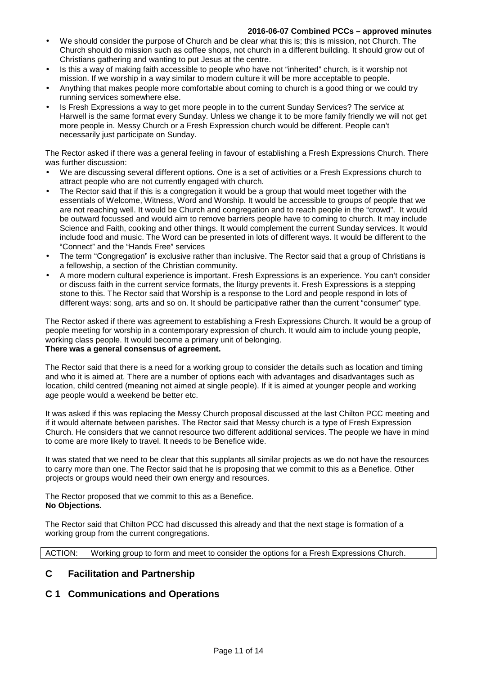#### **2016-06-07 Combined PCCs – approved minutes**

- We should consider the purpose of Church and be clear what this is; this is mission, not Church. The Church should do mission such as coffee shops, not church in a different building. It should grow out of Christians gathering and wanting to put Jesus at the centre.
- Is this a way of making faith accessible to people who have not "inherited" church, is it worship not mission. If we worship in a way similar to modern culture it will be more acceptable to people.
- Anything that makes people more comfortable about coming to church is a good thing or we could try running services somewhere else.
- Is Fresh Expressions a way to get more people in to the current Sunday Services? The service at Harwell is the same format every Sunday. Unless we change it to be more family friendly we will not get more people in. Messy Church or a Fresh Expression church would be different. People can't necessarily just participate on Sunday.

The Rector asked if there was a general feeling in favour of establishing a Fresh Expressions Church. There was further discussion:

- We are discussing several different options. One is a set of activities or a Fresh Expressions church to attract people who are not currently engaged with church.
- The Rector said that if this is a congregation it would be a group that would meet together with the essentials of Welcome, Witness, Word and Worship. It would be accessible to groups of people that we are not reaching well. It would be Church and congregation and to reach people in the "crowd". It would be outward focussed and would aim to remove barriers people have to coming to church. It may include Science and Faith, cooking and other things. It would complement the current Sunday services. It would include food and music. The Word can be presented in lots of different ways. It would be different to the "Connect" and the "Hands Free" services
- The term "Congregation" is exclusive rather than inclusive. The Rector said that a group of Christians is a fellowship, a section of the Christian community.
- A more modern cultural experience is important. Fresh Expressions is an experience. You can't consider or discuss faith in the current service formats, the liturgy prevents it. Fresh Expressions is a stepping stone to this. The Rector said that Worship is a response to the Lord and people respond in lots of different ways: song, arts and so on. It should be participative rather than the current "consumer" type.

The Rector asked if there was agreement to establishing a Fresh Expressions Church. It would be a group of people meeting for worship in a contemporary expression of church. It would aim to include young people, working class people. It would become a primary unit of belonging. **There was a general consensus of agreement.** 

The Rector said that there is a need for a working group to consider the details such as location and timing and who it is aimed at. There are a number of options each with advantages and disadvantages such as location, child centred (meaning not aimed at single people). If it is aimed at younger people and working age people would a weekend be better etc.

It was asked if this was replacing the Messy Church proposal discussed at the last Chilton PCC meeting and if it would alternate between parishes. The Rector said that Messy church is a type of Fresh Expression Church. He considers that we cannot resource two different additional services. The people we have in mind to come are more likely to travel. It needs to be Benefice wide.

It was stated that we need to be clear that this supplants all similar projects as we do not have the resources to carry more than one. The Rector said that he is proposing that we commit to this as a Benefice. Other projects or groups would need their own energy and resources.

The Rector proposed that we commit to this as a Benefice. **No Objections.** 

The Rector said that Chilton PCC had discussed this already and that the next stage is formation of a working group from the current congregations.

ACTION: Working group to form and meet to consider the options for a Fresh Expressions Church.

# **C Facilitation and Partnership**

# **C 1 Communications and Operations**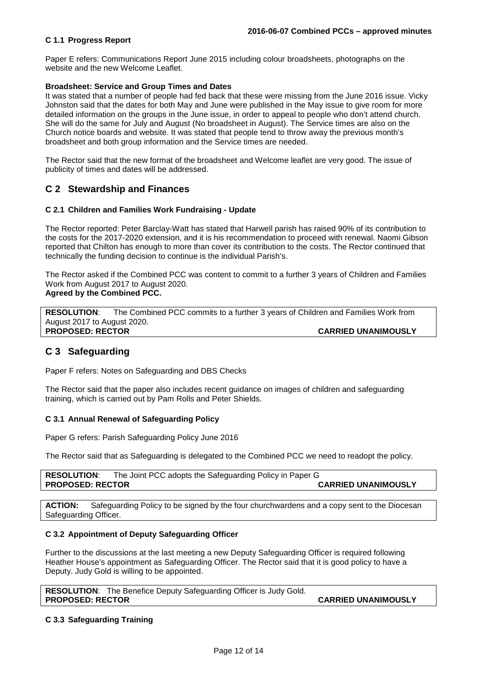#### **C 1.1 Progress Report**

Paper E refers: Communications Report June 2015 including colour broadsheets, photographs on the website and the new Welcome Leaflet.

### **Broadsheet: Service and Group Times and Dates**

It was stated that a number of people had fed back that these were missing from the June 2016 issue. Vicky Johnston said that the dates for both May and June were published in the May issue to give room for more detailed information on the groups in the June issue, in order to appeal to people who don't attend church. She will do the same for July and August (No broadsheet in August). The Service times are also on the Church notice boards and website. It was stated that people tend to throw away the previous month's broadsheet and both group information and the Service times are needed.

The Rector said that the new format of the broadsheet and Welcome leaflet are very good. The issue of publicity of times and dates will be addressed.

# **C 2 Stewardship and Finances**

#### **C 2.1 Children and Families Work Fundraising - Update**

The Rector reported: Peter Barclay-Watt has stated that Harwell parish has raised 90% of its contribution to the costs for the 2017-2020 extension, and it is his recommendation to proceed with renewal. Naomi Gibson reported that Chilton has enough to more than cover its contribution to the costs. The Rector continued that technically the funding decision to continue is the individual Parish's.

The Rector asked if the Combined PCC was content to commit to a further 3 years of Children and Families Work from August 2017 to August 2020. **Agreed by the Combined PCC.** 

**RESOLUTION**: The Combined PCC commits to a further 3 years of Children and Families Work from August 2017 to August 2020. **PROPOSED: RECTOR CARRIED UNANIMOUSLY** 

# **C 3 Safeguarding**

Paper F refers: Notes on Safeguarding and DBS Checks

The Rector said that the paper also includes recent guidance on images of children and safeguarding training, which is carried out by Pam Rolls and Peter Shields.

#### **C 3.1 Annual Renewal of Safeguarding Policy**

Paper G refers: Parish Safeguarding Policy June 2016

The Rector said that as Safeguarding is delegated to the Combined PCC we need to readopt the policy.

**RESOLUTION**: The Joint PCC adopts the Safeguarding Policy in Paper G **PROPOSED: RECTOR CARRIED UNANIMOUSLY** 

**ACTION:** Safeguarding Policy to be signed by the four churchwardens and a copy sent to the Diocesan Safeguarding Officer.

#### **C 3.2 Appointment of Deputy Safeguarding Officer**

Further to the discussions at the last meeting a new Deputy Safeguarding Officer is required following Heather House's appointment as Safeguarding Officer. The Rector said that it is good policy to have a Deputy. Judy Gold is willing to be appointed.

**RESOLUTION**: The Benefice Deputy Safeguarding Officer is Judy Gold. **PROPOSED: RECTOR CARRIED UNANIMOUSLY** 

#### **C 3.3 Safeguarding Training**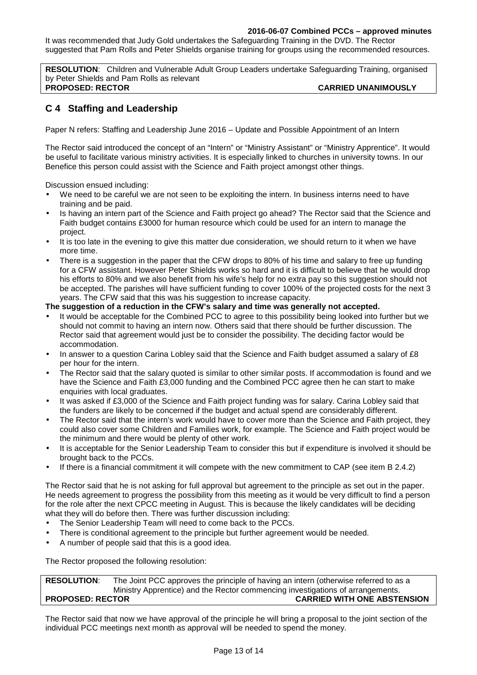## **2016-06-07 Combined PCCs – approved minutes**

It was recommended that Judy Gold undertakes the Safeguarding Training in the DVD. The Rector suggested that Pam Rolls and Peter Shields organise training for groups using the recommended resources.

**RESOLUTION**: Children and Vulnerable Adult Group Leaders undertake Safeguarding Training, organised by Peter Shields and Pam Rolls as relevant **PROPOSED: RECTOR CARRIED UNANIMOUSLY** 

# **C 4 Staffing and Leadership**

Paper N refers: Staffing and Leadership June 2016 – Update and Possible Appointment of an Intern

The Rector said introduced the concept of an "Intern" or "Ministry Assistant" or "Ministry Apprentice". It would be useful to facilitate various ministry activities. It is especially linked to churches in university towns. In our Benefice this person could assist with the Science and Faith project amongst other things.

Discussion ensued including:

- We need to be careful we are not seen to be exploiting the intern. In business interns need to have training and be paid.
- Is having an intern part of the Science and Faith project go ahead? The Rector said that the Science and Faith budget contains £3000 for human resource which could be used for an intern to manage the project.
- It is too late in the evening to give this matter due consideration, we should return to it when we have more time.
- There is a suggestion in the paper that the CFW drops to 80% of his time and salary to free up funding for a CFW assistant. However Peter Shields works so hard and it is difficult to believe that he would drop his efforts to 80% and we also benefit from his wife's help for no extra pay so this suggestion should not be accepted. The parishes will have sufficient funding to cover 100% of the projected costs for the next 3 years. The CFW said that this was his suggestion to increase capacity.

## **The suggestion of a reduction in the CFW's salary and time was generally not accepted.**

- It would be acceptable for the Combined PCC to agree to this possibility being looked into further but we should not commit to having an intern now. Others said that there should be further discussion. The Rector said that agreement would just be to consider the possibility. The deciding factor would be accommodation.
- In answer to a question Carina Lobley said that the Science and Faith budget assumed a salary of £8 per hour for the intern.
- The Rector said that the salary quoted is similar to other similar posts. If accommodation is found and we have the Science and Faith £3,000 funding and the Combined PCC agree then he can start to make enquiries with local graduates.
- It was asked if £3,000 of the Science and Faith project funding was for salary. Carina Lobley said that the funders are likely to be concerned if the budget and actual spend are considerably different.
- The Rector said that the intern's work would have to cover more than the Science and Faith project, they could also cover some Children and Families work, for example. The Science and Faith project would be the minimum and there would be plenty of other work.
- It is acceptable for the Senior Leadership Team to consider this but if expenditure is involved it should be brought back to the PCCs.
- If there is a financial commitment it will compete with the new commitment to CAP (see item B 2.4.2)

The Rector said that he is not asking for full approval but agreement to the principle as set out in the paper. He needs agreement to progress the possibility from this meeting as it would be very difficult to find a person for the role after the next CPCC meeting in August. This is because the likely candidates will be deciding what they will do before then. There was further discussion including:

- The Senior Leadership Team will need to come back to the PCCs.
- There is conditional agreement to the principle but further agreement would be needed.
- A number of people said that this is a good idea.

The Rector proposed the following resolution:

**RESOLUTION**: The Joint PCC approves the principle of having an intern (otherwise referred to as a Ministry Apprentice) and the Rector commencing investigations of arrangements. **PROPOSED: RECTOR CARRIED WITH ONE ABSTENSION**

The Rector said that now we have approval of the principle he will bring a proposal to the joint section of the individual PCC meetings next month as approval will be needed to spend the money.